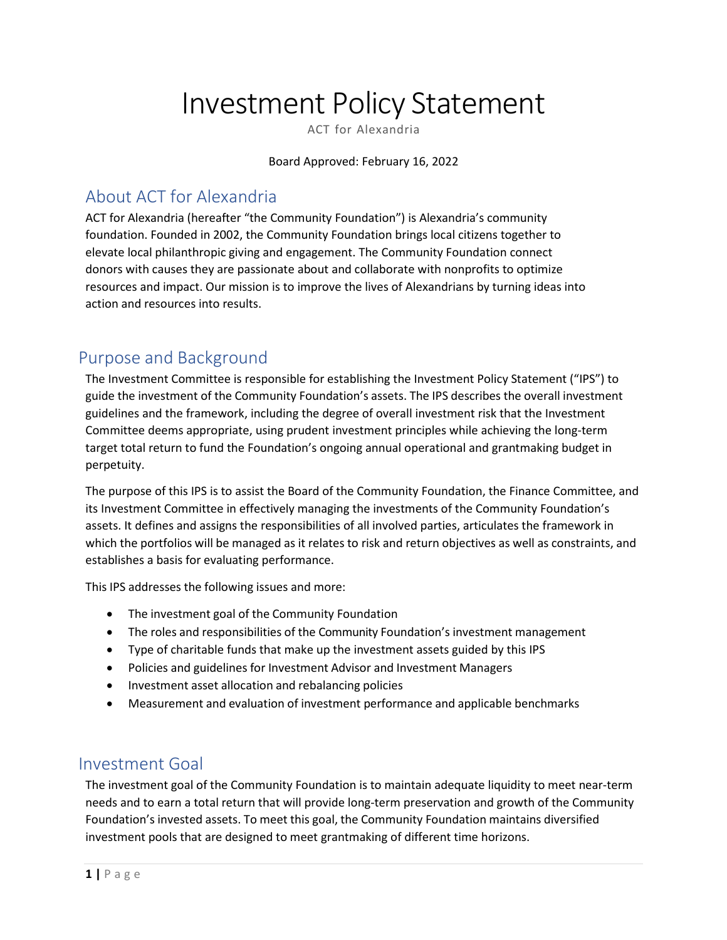# Investment Policy Statement

ACT for Alexandria

Board Approved: February 16, 2022

# About ACT for Alexandria

ACT for Alexandria (hereafter "the Community Foundation") is Alexandria's community foundation. Founded in 2002, the Community Foundation brings local citizens together to elevate local philanthropic giving and engagement. The Community Foundation connect donors with causes they are passionate about and collaborate with nonprofits to optimize resources and impact. Our mission is to improve the lives of Alexandrians by turning ideas into action and resources into results.

# Purpose and Background

The Investment Committee is responsible for establishing the Investment Policy Statement ("IPS") to guide the investment of the Community Foundation's assets. The IPS describes the overall investment guidelines and the framework, including the degree of overall investment risk that the Investment Committee deems appropriate, using prudent investment principles while achieving the long-term target total return to fund the Foundation's ongoing annual operational and grantmaking budget in perpetuity.

The purpose of this IPS is to assist the Board of the Community Foundation, the Finance Committee, and its Investment Committee in effectively managing the investments of the Community Foundation's assets. It defines and assigns the responsibilities of all involved parties, articulates the framework in which the portfolios will be managed as it relates to risk and return objectives as well as constraints, and establishes a basis for evaluating performance.

This IPS addresses the following issues and more:

- The investment goal of the Community Foundation
- The roles and responsibilities of the Community Foundation's investment management
- Type of charitable funds that make up the investment assets guided by this IPS
- Policies and guidelines for Investment Advisor and Investment Managers
- Investment asset allocation and rebalancing policies
- Measurement and evaluation of investment performance and applicable benchmarks

# Investment Goal

The investment goal of the Community Foundation is to maintain adequate liquidity to meet near-term needs and to earn a total return that will provide long-term preservation and growth of the Community Foundation's invested assets. To meet this goal, the Community Foundation maintains diversified investment pools that are designed to meet grantmaking of different time horizons.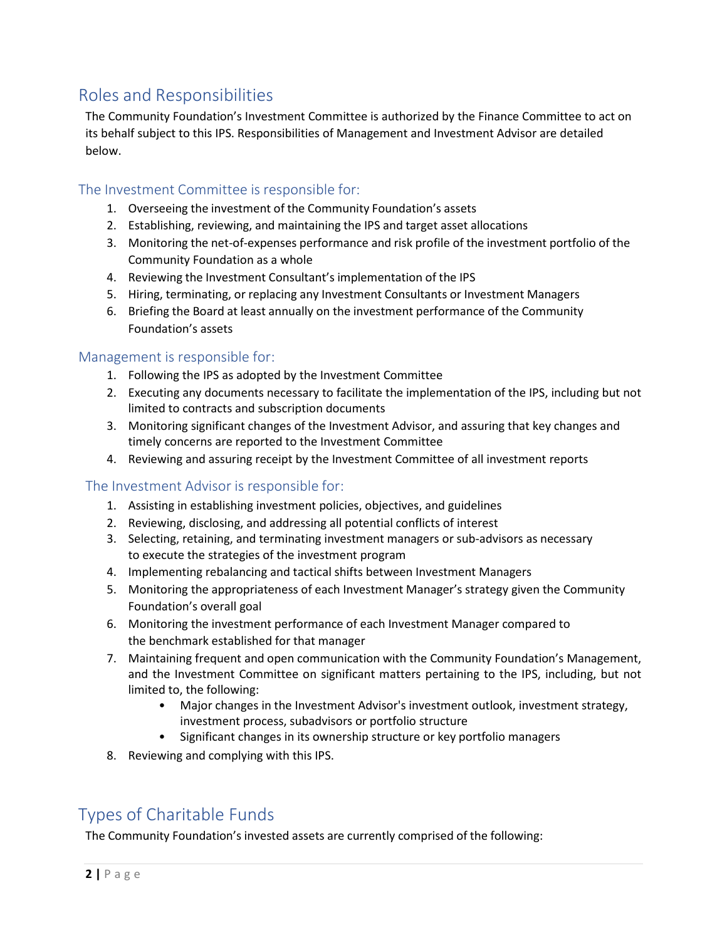# Roles and Responsibilities

The Community Foundation's Investment Committee is authorized by the Finance Committee to act on its behalf subject to this IPS. Responsibilities of Management and Investment Advisor are detailed below.

#### The Investment Committee is responsible for:

- 1. Overseeing the investment of the Community Foundation's assets
- 2. Establishing, reviewing, and maintaining the IPS and target asset allocations
- 3. Monitoring the net-of-expenses performance and risk profile of the investment portfolio of the Community Foundation as a whole
- 4. Reviewing the Investment Consultant's implementation of the IPS
- 5. Hiring, terminating, or replacing any Investment Consultants or Investment Managers
- 6. Briefing the Board at least annually on the investment performance of the Community Foundation's assets

#### Management is responsible for:

- 1. Following the IPS as adopted by the Investment Committee
- 2. Executing any documents necessary to facilitate the implementation of the IPS, including but not limited to contracts and subscription documents
- 3. Monitoring significant changes of the Investment Advisor, and assuring that key changes and timely concerns are reported to the Investment Committee
- 4. Reviewing and assuring receipt by the Investment Committee of all investment reports

#### The Investment Advisor is responsible for:

- 1. Assisting in establishing investment policies, objectives, and guidelines
- 2. Reviewing, disclosing, and addressing all potential conflicts of interest
- 3. Selecting, retaining, and terminating investment managers or sub-advisors as necessary to execute the strategies of the investment program
- 4. Implementing rebalancing and tactical shifts between Investment Managers
- 5. Monitoring the appropriateness of each Investment Manager's strategy given the Community Foundation's overall goal
- 6. Monitoring the investment performance of each Investment Manager compared to the benchmark established for that manager
- 7. Maintaining frequent and open communication with the Community Foundation's Management, and the Investment Committee on significant matters pertaining to the IPS, including, but not limited to, the following:
	- Major changes in the Investment Advisor's investment outlook, investment strategy, investment process, subadvisors or portfolio structure
	- Significant changes in its ownership structure or key portfolio managers
- 8. Reviewing and complying with this IPS.

# Types of Charitable Funds

The Community Foundation's invested assets are currently comprised of the following: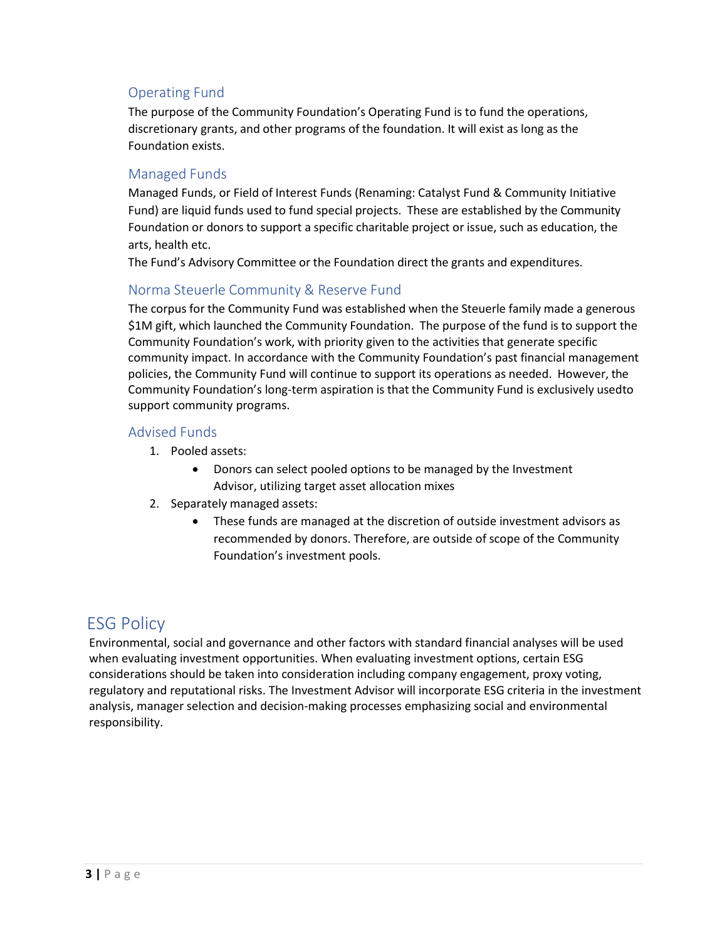#### Operating Fund

The purpose of the Community Foundation's Operating Fund is to fund the operations, discretionary grants, and other programs of the foundation. It will exist as long as the Foundation exists.

#### Managed Funds

Managed Funds, or Field of Interest Funds (Renaming: Catalyst Fund & Community Initiative Fund) are liquid funds used to fund special projects. These are established by the Community Foundation or donors to support a specific charitable project or issue, such as education, the arts, health etc.

The Fund's Advisory Committee or the Foundation direct the grants and expenditures.

## Norma Steuerle Community & Reserve Fund

The corpus for the Community Fund was established when the Steuerle family made a generous \$1M gift, which launched the Community Foundation. The purpose of the fund is to support the Community Foundation's work, with priority given to the activities that generate specific community impact. In accordance with the Community Foundation's past financial management policies, the Community Fund will continue to support its operations as needed. However, the Community Foundation's long-term aspiration is that the Community Fund is exclusively usedto support community programs.

#### Advised Funds

- 1. Pooled assets:
	- Donors can select pooled options to be managed by the Investment Advisor, utilizing target asset allocation mixes
- 2. Separately managed assets:
	- These funds are managed at the discretion of outside investment advisors as recommended by donors. Therefore, are outside of scope of the Community Foundation's investment pools.

## ESG Policy

Environmental, social and governance and other factors with standard financial analyses will be used when evaluating investment opportunities. When evaluating investment options, certain ESG considerations should be taken into consideration including company engagement, proxy voting, regulatory and reputational risks. The Investment Advisor will incorporate ESG criteria in the investment analysis, manager selection and decision-making processes emphasizing social and environmental responsibility.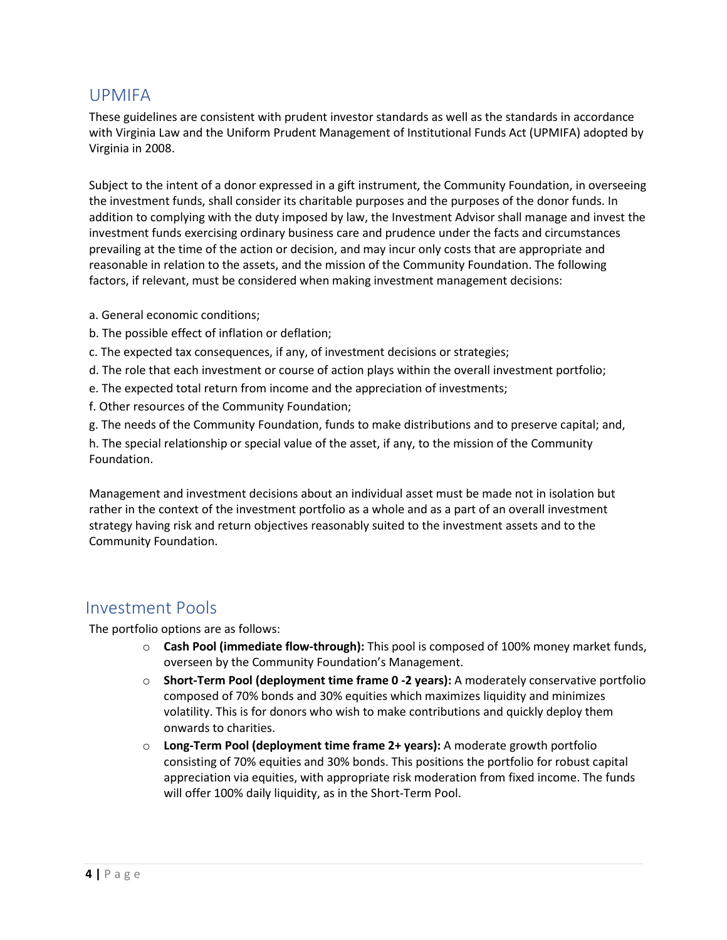## UPMIFA

These guidelines are consistent with prudent investor standards as well as the standards in accordance with Virginia Law and the Uniform Prudent Management of Institutional Funds Act (UPMIFA) adopted by Virginia in 2008.

Subject to the intent of a donor expressed in a gift instrument, the Community Foundation, in overseeing the investment funds, shall consider its charitable purposes and the purposes of the donor funds. In addition to complying with the duty imposed by law, the Investment Advisor shall manage and invest the investment funds exercising ordinary business care and prudence under the facts and circumstances prevailing at the time of the action or decision, and may incur only costs that are appropriate and reasonable in relation to the assets, and the mission of the Community Foundation. The following factors, if relevant, must be considered when making investment management decisions:

- a. General economic conditions;
- b. The possible effect of inflation or deflation;
- c. The expected tax consequences, if any, of investment decisions or strategies;
- d. The role that each investment or course of action plays within the overall investment portfolio;
- e. The expected total return from income and the appreciation of investments;
- f. Other resources of the Community Foundation;
- g. The needs of the Community Foundation, funds to make distributions and to preserve capital; and,

h. The special relationship or special value of the asset, if any, to the mission of the Community Foundation.

Management and investment decisions about an individual asset must be made not in isolation but rather in the context of the investment portfolio as a whole and as a part of an overall investment strategy having risk and return objectives reasonably suited to the investment assets and to the Community Foundation.

## Investment Pools

The portfolio options are as follows:

- o **Cash Pool (immediate flow-through):** This pool is composed of 100% money market funds, overseen by the Community Foundation's Management.
- o **Short-Term Pool (deployment time frame 0 -2 years):** A moderately conservative portfolio composed of 70% bonds and 30% equities which maximizes liquidity and minimizes volatility. This is for donors who wish to make contributions and quickly deploy them onwards to charities.
- o **Long-Term Pool (deployment time frame 2+ years):** A moderate growth portfolio consisting of 70% equities and 30% bonds. This positions the portfolio for robust capital appreciation via equities, with appropriate risk moderation from fixed income. The funds will offer 100% daily liquidity, as in the Short-Term Pool.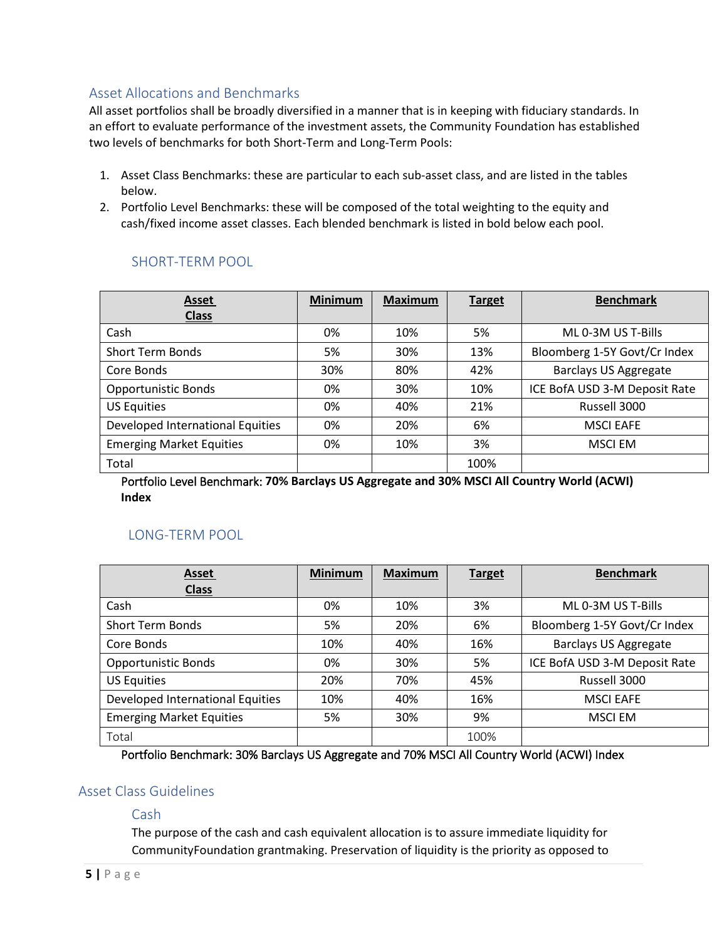## Asset Allocations and Benchmarks

All asset portfolios shall be broadly diversified in a manner that is in keeping with fiduciary standards. In an effort to evaluate performance of the investment assets, the Community Foundation has established two levels of benchmarks for both Short-Term and Long-Term Pools:

- 1. Asset Class Benchmarks: these are particular to each sub-asset class, and are listed in the tables below.
- 2. Portfolio Level Benchmarks: these will be composed of the total weighting to the equity and cash/fixed income asset classes. Each blended benchmark is listed in bold below each pool.

| Asset                            | <b>Minimum</b> | <b>Maximum</b> | <b>Target</b> | <b>Benchmark</b>              |
|----------------------------------|----------------|----------------|---------------|-------------------------------|
| <b>Class</b>                     |                |                |               |                               |
| Cash                             | 0%             | 10%            | 5%            | ML 0-3M US T-Bills            |
| <b>Short Term Bonds</b>          | 5%             | 30%            | 13%           | Bloomberg 1-5Y Govt/Cr Index  |
| Core Bonds                       | 30%            | 80%            | 42%           | <b>Barclays US Aggregate</b>  |
| <b>Opportunistic Bonds</b>       | 0%             | 30%            | 10%           | ICE BofA USD 3-M Deposit Rate |
| <b>US Equities</b>               | 0%             | 40%            | 21%           | Russell 3000                  |
| Developed International Equities | 0%             | 20%            | 6%            | <b>MSCI EAFE</b>              |
| <b>Emerging Market Equities</b>  | 0%             | 10%            | 3%            | <b>MSCI EM</b>                |
| Total                            |                |                | 100%          |                               |

## SHORT-TERM POOL

Portfolio Level Benchmark: **70% Barclays US Aggregate and 30% MSCI All Country World (ACWI) Index**

## LONG-TERM POOL

| <b>Asset</b>                     | <b>Minimum</b> | <b>Maximum</b> | <b>Target</b> | <b>Benchmark</b>              |
|----------------------------------|----------------|----------------|---------------|-------------------------------|
| <b>Class</b>                     |                |                |               |                               |
| Cash                             | 0%             | 10%            | 3%            | ML 0-3M US T-Bills            |
| <b>Short Term Bonds</b>          | 5%             | 20%            | 6%            | Bloomberg 1-5Y Govt/Cr Index  |
| Core Bonds                       | 10%            | 40%            | 16%           | <b>Barclays US Aggregate</b>  |
| <b>Opportunistic Bonds</b>       | 0%             | 30%            | 5%            | ICE BofA USD 3-M Deposit Rate |
| <b>US Equities</b>               | 20%            | 70%            | 45%           | Russell 3000                  |
| Developed International Equities | 10%            | 40%            | 16%           | <b>MSCI EAFE</b>              |
| <b>Emerging Market Equities</b>  | 5%             | 30%            | 9%            | <b>MSCI EM</b>                |
| Total                            |                |                | 100%          |                               |

Portfolio Benchmark: 30% Barclays US Aggregate and 70% MSCI All Country World (ACWI) Index

## Asset Class Guidelines

#### Cash

The purpose of the cash and cash equivalent allocation is to assure immediate liquidity for CommunityFoundation grantmaking. Preservation of liquidity is the priority as opposed to